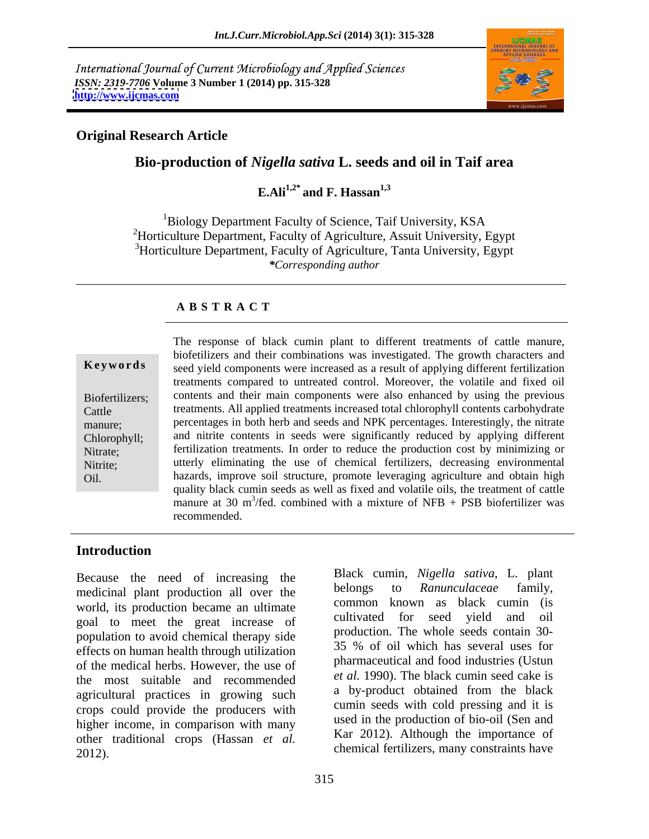International Journal of Current Microbiology and Applied Sciences *ISSN: 2319-7706* **Volume 3 Number 1 (2014) pp. 315-328 <http://www.ijcmas.com>**



# **Original Research Article**

# **Bio-production of** *Nigella sativa* **L. seeds and oil in Taif area**

**E.Ali1,2\* and F. Hassan1,3**

<sup>1</sup>Biology Department Faculty of Science, Taif University, KSA <sup>2</sup>Horticulture Department, Faculty of Agriculture, Assuit University, Egypt <sup>3</sup>Horticulture Department, Faculty of Agriculture, Tanta University, Egypt *\*Corresponding author*

### **A B S T R A C T**

|                 | The response of black cumin plant to different treatments of cattle manure,              |  |  |
|-----------------|------------------------------------------------------------------------------------------|--|--|
|                 | biofetilizers and their combinations was investigated. The growth characters and         |  |  |
| Keywords        | seed yield components were increased as a result of applying different fertilization     |  |  |
|                 | treatments compared to untreated control. Moreover, the volatile and fixed oil           |  |  |
| Biofertilizers; | contents and their main components were also enhanced by using the previous              |  |  |
| Cattle          | treatments. All applied treatments increased total chlorophyll contents carbohydrate     |  |  |
| manure;         | percentages in both herb and seeds and NPK percentages. Interestingly, the nitrate       |  |  |
| Chlorophyll;    | and nitrite contents in seeds were significantly reduced by applying different           |  |  |
| Nitrate;        | fertilization treatments. In order to reduce the production cost by minimizing or        |  |  |
| Nitrite;        | utterly eliminating the use of chemical fertilizers, decreasing environmental            |  |  |
| Oil.            | hazards, improve soil structure, promote leveraging agriculture and obtain high          |  |  |
|                 | quality black cumin seeds as well as fixed and volatile oils, the treatment of cattle    |  |  |
|                 | manure at 30 m <sup>3</sup> /fed. combined with a mixture of NFB + PSB biofertilizer was |  |  |
|                 | recommended.                                                                             |  |  |
|                 |                                                                                          |  |  |

### **Introduction**

Because the need of increasing the Black cumn, *Nigelia sanva*, L. plant<br>modicinal plant production all over the belongs to *Ranunculaceae* family, medicinal plant production all over the world, its production became an ultimate goal to meet the great increase of population to avoid chemical therapy side<br>offects on human health through utilization<br>35 % of oil which has several uses for effects on human health through utilization of the medical herbs. However, the use of the most suitable and recommended agricultural practices in growing such crops could provide the producers with higher income, in comparison with many other traditional crops (Hassan *et al.* 2012). Chemical fertilizers, many constraints have

Black cumin, *Nigella sativa*, L. plant belongs to *Ranunculaceae* family, common known as black cumin (is cultivated for seed yield and oil production. The whole seeds contain 30- 35 % of oil which has several uses for pharmaceutical and food industries (Ustun *et al.* 1990). The black cumin seed cake is a by-product obtained from the black cumin seeds with cold pressing and it is used in the production of bio-oil (Sen and Kar 2012). Although the importance of chemical fertilizers, many constraints have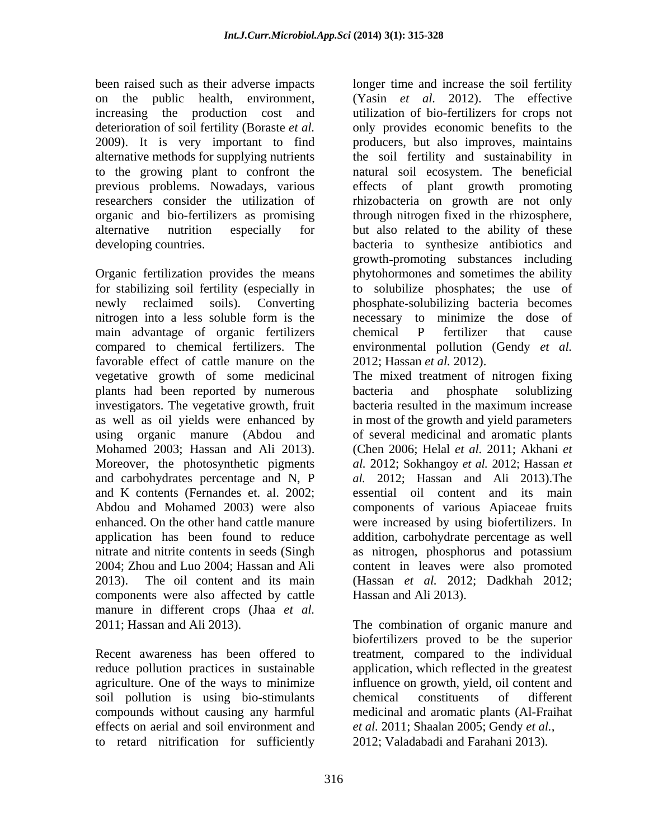previous problems. Nowadays, various

Organic fertilization provides the means main advantage of organic fertilizers chemical P fertilizer that cause favorable effect of cattle manure on the plants had been reported by numerous bacteria and phosphate solublizing investigators. The vegetative growth, fruit bacteria resulted in the maximum increase and K contents (Fernandes et. al. 2002; components were also affected by cattle manure in different crops (Jhaa *et al.* 2011; Hassan and Ali 2013). The combination of organic manure and

soil pollution is using bio-stimulants chemical constituents of different effects on aerial and soil environment and to retard nitrification for sufficiently

been raised such as their adverse impacts longer time and increase the soil fertility on the public health, environment, (Yasin *et al.* 2012). The effective increasing the production cost and utilization of bio-fertilizers for crops not deterioration of soil fertility (Boraste *et al.* only provides economic benefits to the 2009). It is very important to find producers, but also improves, maintains alternative methods for supplying nutrients the soil fertility and sustainability in to the growing plant to confront the natural soil ecosystem. The beneficial researchers consider the utilization of rhizobacteria on growth are not only organic and bio-fertilizers as promising through nitrogen fixed in the rhizosphere, alternative nutrition especially for but also related to the ability of these developing countries. bacteria to synthesize antibiotics and for stabilizing soil fertility (especially in to solubilize phosphates; the use of newly reclaimed soils). Converting phosphate solubilizing bacteria becomes nitrogen into a less soluble form is the compared to chemical fertilizers. The environmental pollution (Gendy *et al.* plant growth promoting growth promoting substances including phytohormones and sometimes the ability necessary to minimize the dose of chemical P fertilizer that cause 2012; Hassan *et al.* 2012).

vegetative growth of some medicinal The mixed treatment of nitrogen fixing as well as oil yields were enhanced by in most of the growth and yield parameters using organic manure (Abdou and of several medicinal and aromatic plants Mohamed 2003; Hassan and Ali 2013). (Chen 2006; Helal *et al.* 2011; Akhani *et* Moreover, the photosynthetic pigments *al.* 2012; Sokhangoy *et al.* 2012; Hassan *et* and carbohydrates percentage and N, P *al.* 2012; Hassan and Ali 2013).The Abdou and Mohamed 2003) were also components of various Apiaceae fruits enhanced. On the other hand cattle manure were increased by using biofertilizers. In application has been found to reduce addition, carbohydrate percentage as well nitrate and nitrite contents in seeds (Singh as nitrogen, phosphorus and potassium 2004; Zhou and Luo 2004; Hassan and Ali content in leaves were also promoted 2013). The oil content and its main (Hassan *et al.* 2012; Dadkhah 2012; bacteria and phosphate solublizing bacteria resulted in the maximum increase (Chen 2006; Helal *et al.* 2011; Akhani *et al.* 2012; Sokhangoy *et al.* 2012; Hassan *et*  essential oil content and its main Hassan and Ali 2013).

Recent awareness has been offered to treatment, compared to the individual reduce pollution practices in sustainable application, which reflected in the greatest agriculture. One of the ways to minimize influence on growth, yield, oil content and compounds without causing any harmful medicinal and aromatic plants (Al-Fraihat biofertilizers proved to be the superior chemical constituents of different *et al.* 2011; Shaalan 2005; Gendy *et al.,* 2012; Valadabadi and Farahani 2013).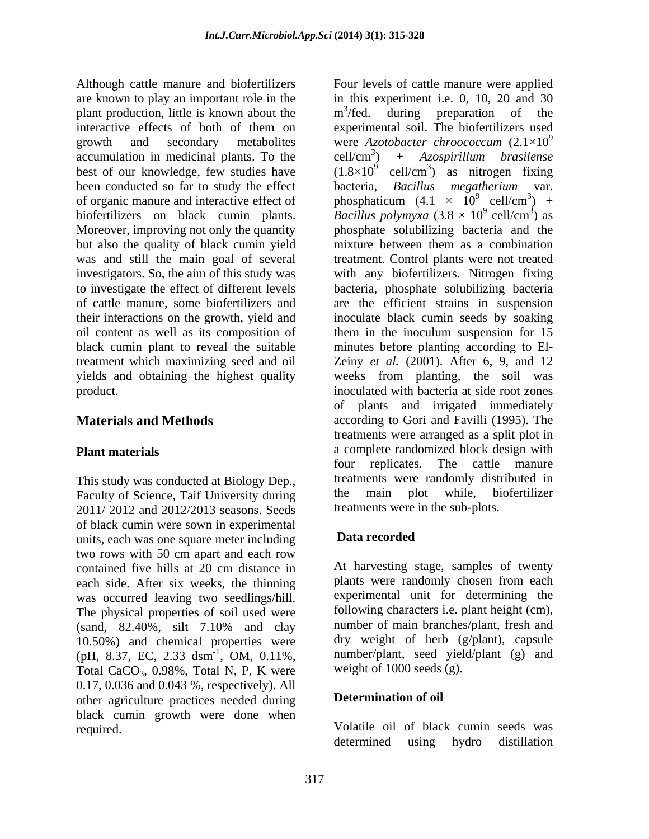Although cattle manure and biofertilizers Four levels of cattle manure were applied are known to play an important role in the in this experiment i.e. 0, 10, 20 and 30 plant production, little is known about the  $m^3$  / fed. during preparation of the interactive effects of both of them on experimental soil. The biofertilizers used growth and secondary metabolites were Azotobacter chronococcum  $(2.1 \times 10^9)$  $accumulation$  in medicinal plants. To the  $cell/cm<sup>3</sup>$ best of our knowledge, few studies have  $(1.8\times10^9 \text{ cell/cm}^3)$  as nitrogen fixing been conducted so far to study the effect bacteria, Bacillus megatherium var. of organic manure and interactive effect of phosphaticum  $(4.1 \times 10^9 \text{ cell/cm}^3)$  + biofertilizers on black cumin plants. *Bacillus polymyxa*  $(3.8 \times 10^9 \text{ cell/cm}^3)$  as Moreover, improving not only the quantity phosphate solubilizing bacteria and the but also the quality of black cumin yield mixture between them as a combination was and still the main goal of several treatment. Control plants were not treated investigators. So, the aim of this study was with any biofertilizers. Nitrogen fixing to investigate the effect of different levels bacteria, phosphate solubilizing bacteria of cattle manure, some biofertilizers and are the efficient strains in suspension their interactions on the growth, yield and inoculate black cumin seeds by soaking oil content as well as its composition of them in the inoculum suspension for 15 black cumin plant to reveal the suitable minutes before planting according to El treatment which maximizing seed and oil Zeiny *et al.* (2001). After 6, 9, and 12 yields and obtaining the highest quality weeks from planting, the soil was product. inoculated with bacteria at side root zones

This study was conducted at Biology Dep.,<br>
Faculty of Science Taif University during<br>
the main plot while, biofertilizer Faculty of Science, Taif University during the 2011/ 2012 and 2012/2013 seasons. Seeds of black cumin were sown in experimental<br>units each was one square meter including **Data recorded** units, each was one square meter including two rows with 50 cm apart and each row each side. After six weeks, the thinning plants were randomly chosen from each was occurred leaving two seedlings/hill. The physical properties of soil used were 10.50%) and chemical properties were (pH, 8.37, EC, 2.33 dsm<sup>-1</sup>, OM, 0.11%, Total CaCO<sub>3</sub>,  $0.98\%$ , Total N, P, K were 0.17, 0.036 and 0.043 %, respectively). All other agriculture practices needed during black cumin growth were done when required. Volatile oil of black cumin seeds was

**Materials and Methods according to Gori and Favilli (1995)**. The **Plant materials** a complete randomized block design with m<sup>3</sup>/fed. during preparation of the  $3/\mathsf{f}_{\alpha}$  during proporation of the /fed. during preparation of the were *Azotobacter chroococcum* (2.1×10<sup>9</sup> + Azospirillum brasilense ) *+ Azospirillum brasilense* cell/cm<sup>3</sup>) as nitrogen fixing ) as nitrogen fixing bacteria, *Bacillus megatherium* var.  $\frac{9}{9}$  ex $\frac{11}{\text{cm}^3}$  $cell/cm^3$  +  $3\frac{1}{2}$  $) +$  $^{9}$  9 and  $\frac{3}{2}$  90 cell/cm<sup>3</sup>) as  $\frac{3}{2}$  0.0 ) as mixture between them as a combination of plants and irrigated immediately treatments were arranged as a split plot in four replicates. The cattle manure treatments were randomly distributed in the main plot while, biofertilizer treatments were in the sub-plots.

## **Data recorded**

contained five hills at 20 cm distance in (sand, 82.40%, silt 7.10% and clay mumber of main branches/plant, fresh and  $^{-1}$ , OM, 0.11%, number/plant, seed yield/plant (g) and At harvesting stage, samples of twenty plants were randomly chosen from each experimental unit for determining the following characters i.e. plant height (cm), number of main branches/plant, fresh and dry weight of herb (g/plant), capsule weight of 1000 seeds (g).

## **Determination of oil**

determined using hydro distillation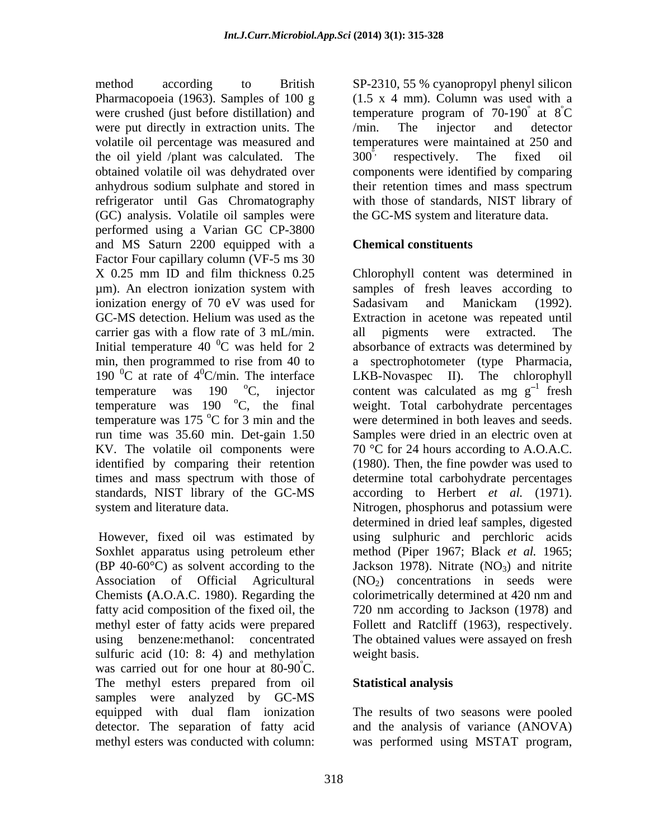method according to British SP-2310, 55 % cyanopropyl phenyl silicon Pharmacopoeia (1963). Samples of 100 g were crushed (just before distillation) and temperature program of  $70-190^\circ$  at  $8^\circ$ C were put directly in extraction units. The /min. The injector and detector volatile oil percentage was measured and the oil yield /plant was calculated. The  $300^{\degree}$  respectively. The fixed oil obtained volatile oil was dehydrated over components were identified by comparing anhydrous sodium sulphate and stored in their retention times and mass spectrum refrigerator until Gas Chromatography (GC) analysis. Volatile oil samples were performed using a Varian GC CP-3800 and MS Saturn 2200 equipped with a Factor Four capillary column (VF-5 ms 30 ionization energy of 70 eV was used for Sadasivam and Manickam (1992). carrier gas with a flow rate of 3 mL/min. all pigments were extracted. The Initial temperature 40  $^{0}$ C was held for 2 190  $^0C$  at rate of 4<sup>0</sup>C/min. The interface temperature was  $175^{\circ}$ C for 3 min and the run time was 35.60 min. Det-gain 1.50 KV. The volatile oil components were standards, NIST library of the GC-MS system and literature data. Nitrogen, phosphorus and potassium were

Chemists **(**A.O.A.C. 1980). Regarding the sulfuric acid (10: 8: 4) and methylation weight basis. was carried out for one hour at 80-90°C. The methyl esters prepared from oil Statistical analysis samples were analyzed by GC-MS equipped with dual flam ionization The results of two seasons were pooled detector. The separation of fatty acid and the analysis of variance (ANOVA)

(1.5 x 4 mm). Column was used with a temperature program of  $70-190^\circ$  at  $8^\circ\text{C}$ at  $8^{\circ}$ C  $\rm^{\circ}C$ /min. The injector and detector temperatures were maintained at 250 and  $300^{\degree}$  respectively. The fixed oil with those of standards, NIST library of the GC-MS system and literature data.

# **Chemical constituents**

X 0.25 mm ID and film thickness 0.25 Chlorophyll content was determined in µm). An electron ionization system with GC-MS detection. Helium was used as the Extraction in acetone was repeated until <sup>0</sup>C was held for 2 absorbance of extracts was determined by min, then programmed to rise from 40 to a spectrophotometer (type Pharmacia,  ${}^{0}$ C/min. The interface LKB-Novaspec II). The chlorophyll temperature was 190  $\degree$ C, injector content was calculated as mg g<sup>-1</sup> fresh temperature was 190 °C, the final weight. Total carbohydrate percentages oC for 3 min and the were determined in both leaves and seeds. identified by comparing their retention (1980). Then, the fine powder was used to times and mass spectrum with those of determine total carbohydrate percentages However, fixed oil was estimated by using sulphuric and perchloric acids Soxhlet apparatus using petroleum ether method (Piper 1967; Black *et al.* 1965;  $(BP 40-60^{\circ}C)$  as solvent according to the Jackson 1978). Nitrate  $(NO<sub>3</sub>)$  and nitrite Association of Official Agricultural  $(NO<sub>2</sub>)$  concentrations in seeds were fatty acid composition of the fixed oil, the 720 nm according to Jackson (1978) and methyl ester of fatty acids were prepared Follett and Ratcliff (1963), respectively. using benzene:methanol: concentrated The obtained values were assayed on fresh samples of fresh leaves according to Sadasivam and Manickam (1992). all pigments were extracted. The  $\frac{1}{2}$  frosh fresh Samples were dried in an electric oven at 70 °C for 24 hours according to A.O.A.C. according to Herbert *et al.* (1971). Nitrogen, phosphorus and potassium were determined in dried leaf samples, digested colorimetrically determined at 420 nm and weight basis.

# **Statistical analysis**

methyl esters was conducted with column: was performed using MSTAT program,The results of two seasons were pooled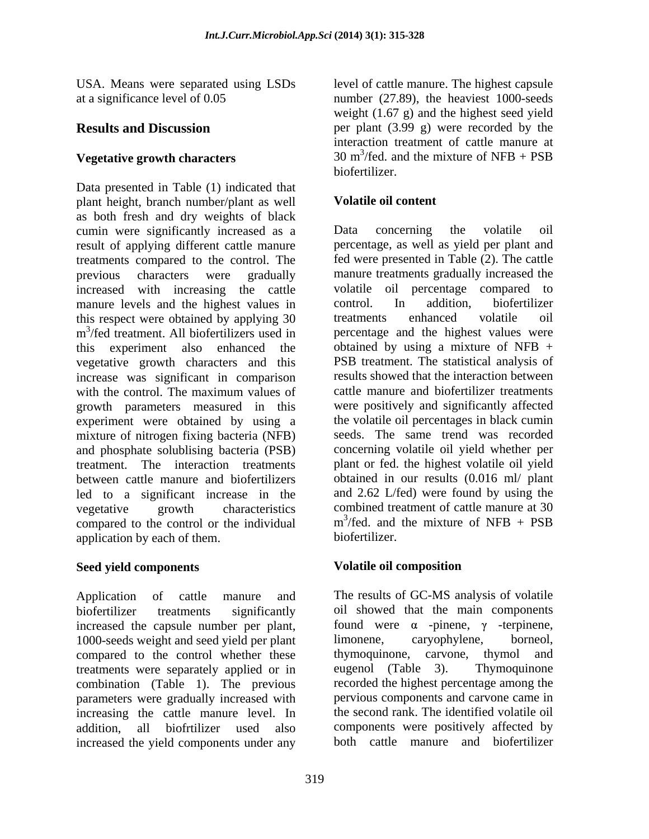Data presented in Table (1) indicated that plant height, branch number/plant as well as both fresh and dry weights of black cumin were significantly increased as a Data concerning the volatile oil result of applying different cattle manure treatments compared to the control. The previous characters were gradually manure treatments gradually increased the increased with increasing the cattle volatile oil percentage compared to manure levels and the highest values in control. In addition, biofertilizer manure levels and the highest values in this respect were obtained by applying 30 treatments enhanced volatile oil m<sup>3</sup>/fed treatment. All biofertilizers used in percentage and the highest values were this experiment also enhanced the obtained by using a mixture of NFB + vegetative growth characters and this increase was significant in comparison with the control. The maximum values of cattle manure and biofertilizer treatments growth parameters measured in this experiment were obtained by using a mixture of nitrogen fixing bacteria (NFB) and phosphate solublising bacteria (PSB) treatment. The interaction treatments plant or fed. the highest volatile oil yield between cattle manure and biofertilizers led to a significant increase in the vegetative growth characteristics combined treatment of cattle manure at 30 compared to the control or the individual  $m^3$ /fed. and annihization by each of them biofertilizer. application by each of them.

Application of cattle manure and The results of GC-MS analysis of volatile biofertilizer treatments significantly oil showed that the main components increased the capsule number per plant, found were  $\alpha$  -pinene,  $\gamma$  -terpinene, 1000-seeds weight and seed yield per plant limonene, caryophylene, borneol, compared to the control whether these thymoquinone, carvone, thymol and compared to the control whether these thymoquinone, carvone, thymol and treatments were separately applied or in eugenol (Table 3). Thymoquinone treatments were separately applied or in combination (Table 1). The previous parameters were gradually increased with increasing the cattle manure level. In addition, all biofrtilizer used also components were positively affected by increased the yield components under any

USA. Means were separated using LSDs level of cattle manure. The highest capsule at a significance level of 0.05 number (27.89), the heaviest 1000-seeds **Results and Discussion** per plant (3.99 g) were recorded by the **Vegetative growth characters**  $30 \text{ m}^3/\text{fed.}$  and the mixture of NFB + PSB weight (1.67 g) and the highest seed yield interaction treatment of cattle manure at 30 m<sup>3</sup>/fed. and the mixture of NFB + PSB /fed. and the mixture of NFB + PSB biofertilizer.

# **Volatile oil content**

 $3$ /fed treatment. All biofertilizers used in percentage and the highest values were Data concerning the volatile oil percentage, as well as yield per plant and fed were presented in Table (2). The cattle volatile oil percentage compared to control. In addition, biofertilizer treatments enhanced volatile oil PSB treatment. The statistical analysis of results showed that the interaction between cattle manure and biofertilizer treatments were positively and significantly affected the volatile oil percentages in black cumin seeds. The same trend was recorded concerning volatile oil yield whether per obtained in our results (0.016 ml/ plant and 2.62 L/fed) were found by using the  $m^3$ /fed. and the mixture of NFB + PSB  $m^3$ /fed. and the mixture of NFB + PSB /fed. and the mixture of NFB + PSB biofertilizer.

### Seed vield components **Seed vield components Seed vield composition Volatile oil composition**

limonene, caryophylene, borneol, thymoquinone, carvone, thymol and eugenol (Table 3). Thymoquinone recorded the highest percentage among the pervious components and carvone came in the second rank. The identified volatile oil both cattle manure and biofertilizer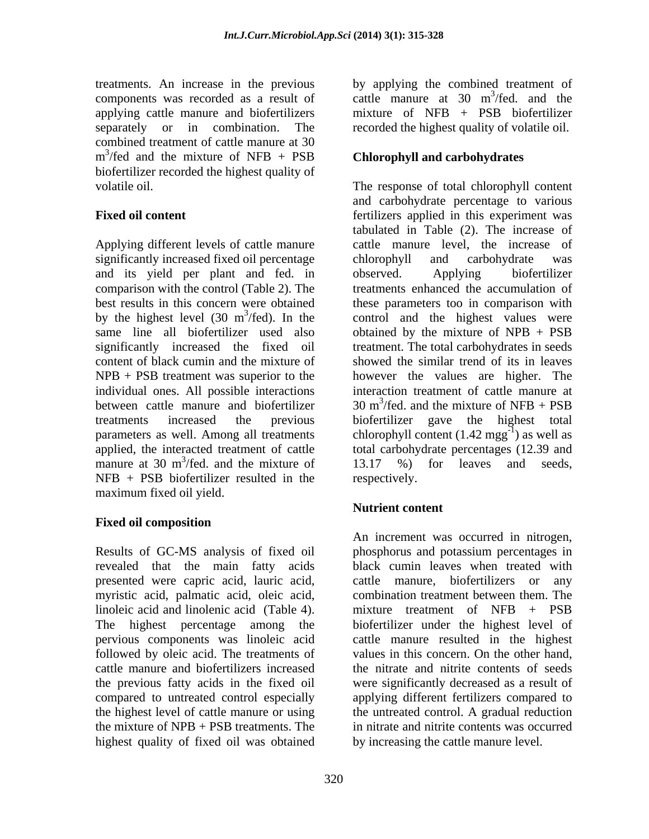components was recorded as a result of cattle manure at 30 m<sup>3</sup>/fed. and the applying cattle manure and biofertilizers mixture of NFB + PSB biofertilizer applying cattle manure and biofertilizers combined treatment of cattle manure at 30  $m^3$ /fed and the mixture of NFB + PSB **Chlorophyll and carbohydrates** biofertilizer recorded the highest quality of

Applying different levels of cattle manure significantly increased fixed oil percentage chlorophyll and carbohydrate was and its yield per plant and fed. in observed. Applying biofertilizer comparison with the control (Table 2). The content of black cumin and the mixture of manure at 30 m<sup>3</sup>/fed, and the mixture of 13.17 %) for leaves and seeds,  $NFB$  + PSB biofertilizer resulted in the respectively. maximum fixed oil yield.

# **Fixed oil composition**

Results of GC-MS analysis of fixed oil phosphorus and potassium percentages in revealed that the main fatty acids presented were capric acid, lauric acid, myristic acid, palmatic acid, oleic acid, combination treatment between them. The linoleic acid and linolenic acid (Table 4). The highest percentage among the biofertilizer under the highest level of pervious components was linoleic acid cattle manure resulted in the highest followed by oleic acid. The treatments of values in this concern. On the other hand, cattle manure and biofertilizers increased the nitrate and nitrite contents of seeds the previous fatty acids in the fixed oil were significantly decreased as a result of compared to untreated control especially applying different fertilizers compared to the highest level of cattle manure or using the untreated control. A gradual reduction the mixture of NPB + PSB treatments. The in nitrate and nitrite contents was occurred highest quality of fixed oil was obtained

treatments. An increase in the previous by applying the combined treatment of separately or in combination. The recorded the highest quality of volatile oil. cattle manure at 30 m<sup>3</sup>/fed. and the  $3/fod$  and the /fed. and the mixture of NFB + PSB biofertilizer

# **Chlorophyll and carbohydrates**

volatile oil. The response of total chlorophyll content **Fixed oil content Fixed oil content fertilizers** applied in this experiment was best results in this concern were obtained these parameters too in comparison with by the highest level (30  $m^3$ /fed). In the control and the highest values were same line all biofertilizer used also obtained by the mixture of NPB + PSB significantly increased the fixed oil treatment. The total carbohydratesin seeds NPB + PSB treatment was superior to the however the values are higher. The individual ones. All possible interactions interaction treatment of cattle manure at between cattle manure and biofertilizer  $30 \text{ m}^3/\text{fed}$  and the mixture of NFB + PSB treatments increased the previous biofertilizer gave the highest total parameters as well. Among all treatments chlorophyll content  $(1.42 \text{ mgg}^{-1})$  as well as applied, the interacted treatment of cattle total carbohydrate percentages (12.39 and manure at 30 m<sup>3</sup>/fed. and the mixture of  $13.17$  %) for leaves and seeds,  $/$ fed. and the mixture of  $13.17$  %) for leaves and seeds, and carbohydrate percentage to various tabulated in Table (2). The increase of cattle manure level, the increase of chlorophyll and carbohydrate was observed. Applying biofertilizer treatments enhanced the accumulation of showed the similar trend of its in leaves 30 m<sup>3</sup>/fed. and the mixture of NFB + PSB /fed. and the mixture of NFB + PSB ) as well as 13.17 %) for leaves and seeds, respectively.

# **Nutrient content**

An increment was occurred in nitrogen, black cumin leaves when treated with cattle manure, biofertilizers or any mixture treatment of NFB + PSB by increasing the cattle manure level.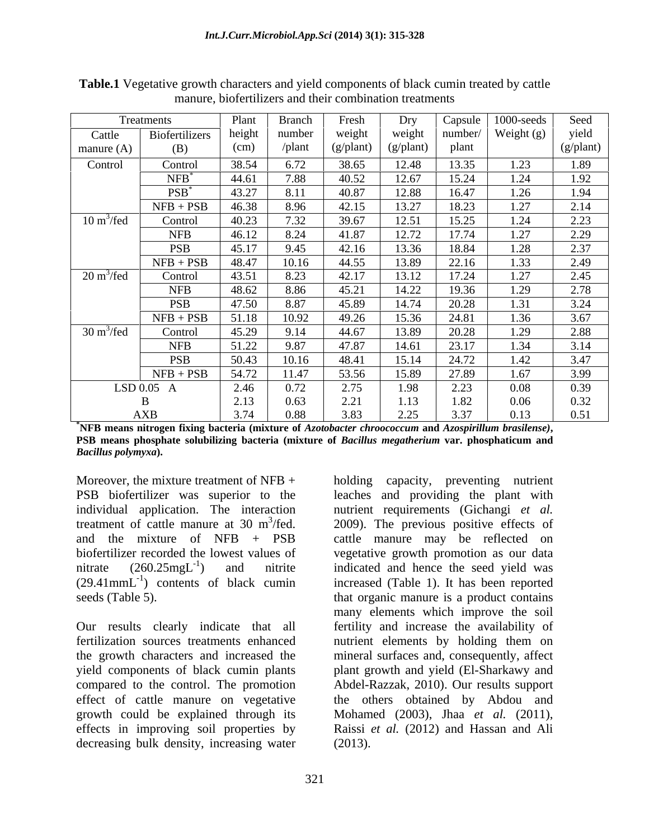|                             | Treatments         | Plant  | <b>Branch</b> | Fresh              | Dry                | Capsule | $1000$ -seeds | Seed      |
|-----------------------------|--------------------|--------|---------------|--------------------|--------------------|---------|---------------|-----------|
| Cattle                      | Biofertilizers     | height | number        | weight             | weight             | number/ | Weight (g)    | yield     |
| manure $(A)$                | (B)                | (cm)   | /plant        | $(g/\text{plant})$ | $(g/\text{plant})$ | plant   |               | (g/plant) |
| Control                     | Control            | 38.54  | 6.72          | 38.65              | 12.48              | 13.35   | 1.23          | 1.89      |
|                             | $NFB$ <sup>*</sup> | 44.61  | 7.88          | 40.52              | 12.67              | 15.24   | 1.24          | 1.92      |
|                             | $PSB^*$            | 43.27  | 8.11          | 40.87              | 12.88              | 16.47   | 1.26          | 1.94      |
|                             | $NFB + PSB$        | 46.38  | 8.96          | 42.15              | 13.27              | 18.23   | 1.27          | 2.14      |
| $10 \text{ m}^3/\text{fed}$ | Control            | 40.23  | 7.32          | 39.67              | 12.51              | 15.25   | 1.24          | 2.23      |
|                             | <b>NFB</b>         | 46.12  | 8.24          | 41.87              | 12.72              | 17.74   | 1.27          | 2.29      |
|                             | <b>PSB</b>         | 45.17  | 9.45          | 42.16              | 13.36              | 18.84   | 1.28          | 2.37      |
|                             | $NFB + PSB$        | 48.47  | 10.16         | 44.55              | 13.89              | 22.16   | 1.33          | 2.49      |
| $20 \text{ m}^3/\text{fed}$ | Control            | 43.51  | 8.23          | 42.17              | 13.12              | 17.24   | 1.27          | 2.45      |
|                             | <b>NFB</b>         | 48.62  | 8.86          | 45.21              | 14.22              | 19.36   | 1.29          | 2.78      |
|                             | <b>PSB</b>         | 47.50  | 8.87          | 45.89              | 14.74              | 20.28   | 1.31          | 3.24      |
|                             | $NFB + PSB$        | 51.18  | 10.92         | 49.26              | 15.36              | 24.81   | 1.36          | 3.67      |
| $30 \text{ m}^3/\text{fed}$ | Control            | 45.29  | 9.14          | 44.67              | 13.89              | 20.28   | 1.29          | 2.88      |
|                             | <b>NFB</b>         | 51.22  | 9.87          | 47.87              | 14.61              | 23.17   | 1.34          | 3.14      |
|                             | <b>PSB</b>         | 50.43  | 10.16         | 48.41              | 15.14              | 24.72   | 1.42          | 3.47      |
|                             | $NFB + PSB$        | 54.72  | 11.47         | 53.56              | 15.89              | 27.89   | 1.67          | 3.99      |
|                             | LSD 0.05 A         | 2.46   | 0.72          | 2.75               | 1.98               | 2.23    | 0.08          | 0.39      |
|                             |                    | 2.13   | 0.63          | 2.21               | 1.13               | 1.82    | 0.06          | 0.32      |
|                             | <b>AXB</b>         | 3.74   | $0.88\,$      | 3.83               | 2.25               | 3.37    | 0.13          | 0.51      |

**Table.1** Vegetative growth characters and yield components of black cumin treated by cattle manure, biofertilizers and their combination treatments

\*NFB means nitrogen fixing bacteria (mixture of *Azotobacter chroococcum* and *Azospirillum brasilense*),<br>PSB means phosphate solubilizing bacteria (mixture of *Bacillus megatherium v*ar. phosphaticum and *Bacillus polymyxa***).** 

Moreover, the mixture treatment of  $NFB +$  holding PSB biofertilizer was superior to the leaches and providing the plant with individual application. The interaction nutrient requirements (Gichangi *et al.* treatment of cattle manure at 30  $m^3$ /fed. 2009). The previous positive effects of and the mixture of NFB + PSB cattle manure may be reflected on biofertilizer recorded the lowest values of vegetative growth promotion as our data nitrate  $(260.25 \text{mgL}^{-1})$  and nitrite indicated and hence the seed yield was  $(29.41$ mm $L^{-1}$ ) contents of black cumin seeds (Table 5). The seeds (Table 5).

Our results clearly indicate that all decreasing bulk density, increasing water

) contents of black cumin increased (Table 1). It has been reported fertilization sources treatments enhanced nutrient elements by holding them on the growth characters and increased the mineral surfaces and, consequently, affect yield components of black cumin plants plant growth and yield (El-Sharkawy and compared to the control. The promotion Abdel-Razzak, 2010). Our results support effect of cattle manure on vegetative the others obtained by Abdou and growth could be explained through its Mohamed (2003), Jhaa *et al.* (2011), effects in improving soil properties by Raissi *et al.* (2012) and Hassan and Ali capacity, preventing nutrient many elements which improve the soil fertility and increase the availability of (2013).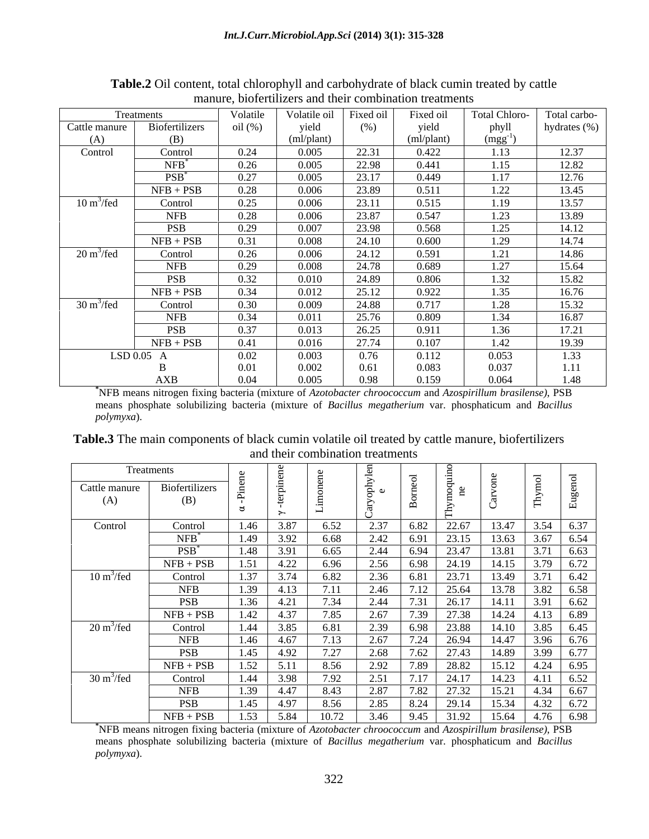|                             | Treatments         | Volatile | Volatile oil | Fixed oil | Fixed oil  | <b>Total Chloro-</b> | Total carbo- |
|-----------------------------|--------------------|----------|--------------|-----------|------------|----------------------|--------------|
| Cattle manure               | Biofertilizers     | oil (%)  | yield        | (%)       | yield      | phyll                | hydrates (%) |
| (A)                         | (B)                |          | (ml/plant)   |           | (ml/plant) | $(mgg^{-1})$         |              |
| Control                     | Control            | 0.24     | 0.005        | 22.31     | 0.422      | 1.13                 | 12.37        |
|                             | $NFB$ <sup>*</sup> | 0.26     | 0.005        | 22.98     | 0.441      | 1.15                 | 12.82        |
|                             | $PSB$ <sup>*</sup> | 0.27     | 0.005        | 23.17     | 0.449      | 1.17                 | 12.76        |
|                             | $NFB + PSB$        | 0.28     | 0.006        | 23.89     | 0.511      | 1.22                 | 13.45        |
| $10 \text{ m}^3/\text{fed}$ | Control            | 0.25     | 0.006        | 23.11     | 0.515      | 1.19                 | 13.57        |
|                             | <b>NFB</b>         | 0.28     | 0.006        | 23.87     | 0.547      | 1.23                 | 13.89        |
|                             | <b>PSB</b>         | 0.29     | 0.007        | 23.98     | 0.568      | 1.25                 | 14.12        |
|                             | $NFB + PSB$        | 0.31     | 0.008        | 24.10     | 0.600      | 1.29                 | 14.74        |
| $20 \text{ m}^3/\text{fed}$ | Control            | 0.26     | 0.006        | 24.12     | 0.591      | 1.21                 | 14.86        |
|                             | <b>NFB</b>         | 0.29     | 0.008        | 24.78     | 0.689      | 1.27                 | 15.64        |
|                             | <b>PSB</b>         | 0.32     | 0.010        | 24.89     | 0.806      | 1.32                 | 15.82        |
|                             | $NFB + PSB$        | 0.34     | 0.012        | 25.12     | 0.922      | 1.35                 | 16.76        |
| $30 \text{ m}^3/\text{fed}$ | Control            | 0.30     | 0.009        | 24.88     | 0.717      | 1.28                 | 15.32        |
|                             | <b>NFB</b>         | 0.34     | 0.011        | 25.76     | 0.809      | 1.34                 | 16.87        |
|                             | <b>PSB</b>         | 0.37     | 0.013        | 26.25     | 0.911      | 1.36                 | 17.21        |
|                             | $NFB + PSB$        | 0.41     | 0.016        | 27.74     | 0.107      | 1.42                 | 19.39        |
|                             | LSD 0.05 A         | 0.02     | 0.003        | 0.76      | 0.112      | 0.053                | 1.33         |
|                             |                    | 0.01     | 0.002        | 0.61      | 0.083      | 0.037                |              |
|                             | AXB                | 0.04     | 0.005        | 0.98      | 0.159      | 0.064                | .48          |

**Table.2** Oil content, total chlorophyll and carbohydrate of black cumin treated by cattle manure, biofertilizers and their combination treatments

**\***NFB means nitrogen fixing bacteria (mixture of *Azotobacter chroococcum* and *Azospirillum brasilense)*, PSB means phosphate solubilizing bacteria (mixture of *Bacillus megatherium* var. phosphaticum and *Bacillus polymyxa*).

**Table.3** The main components of black cumin volatile oil treated by cattle manure, biofertilizers and their combination treatments

|                             | Treatments         |      |       |       |      |       |       |       |                  |      |
|-----------------------------|--------------------|------|-------|-------|------|-------|-------|-------|------------------|------|
| Cattle manure               | Biofertilizers     |      |       |       | ളം ⊘ |       |       |       |                  |      |
| (A)                         | (B)                |      |       |       |      |       |       |       |                  |      |
| Control                     | Control            | 1.46 | 3.87  | 6.52  | 2.37 | 6.82  | 22.67 | 13.47 | 3.54             | 6.37 |
|                             | $NFB$ <sup>*</sup> | 1.49 | 3.92  | 6.68  |      |       | 23.15 | 3.63  | 3.67             | 6.54 |
|                             |                    |      |       |       |      |       |       |       |                  |      |
|                             | $PSB^*$            | 1.48 | 3.91  | 6.65  |      |       | 23.47 | 3.81  |                  | 6.63 |
|                             | $NFB + PSB$        | . 51 | ∟∠، 1 |       |      |       |       |       | 3.79             | 6.72 |
| $10 \text{ m}^3/\text{fed}$ | Control            | 1.37 |       |       |      |       | 23.71 | 3.49  |                  | 6.42 |
|                             | <b>NFB</b>         | l.39 |       |       |      |       |       |       | 3.82             | 6.58 |
|                             | <b>PSB</b>         | 1.36 | 4.21  | 7.34  |      |       | 26.17 |       | 3.9 <sup>°</sup> | 6.62 |
|                             | $NFB + PSB$        | 1.42 | 437   |       |      |       | 27.38 | 14.24 | 4.13             | 6.89 |
| $20 \text{ m}^3/\text{fed}$ | Control            | 1.44 | 3.85  |       |      | 6.98  | 23.88 | 14.10 | 3.85             | 6.45 |
|                             | <b>NFB</b>         | 1.46 |       |       |      | 7 7 4 |       | 4.47  | 3.96             | 6.76 |
|                             |                    |      |       |       |      |       |       |       |                  |      |
|                             | <b>PSB</b>         | 1.45 | 4.92  |       |      |       | 27.43 |       | 3.99             | 6.77 |
|                             | $NFB + PSB$        | .52  |       |       |      |       |       |       |                  | 6.95 |
| $30 \text{ m}^3/\text{fed}$ | Control            | 1.44 | 3.98  | 1.92  | 2.51 | 717   | 24.17 | 14.23 | 4.11             | 6.52 |
|                             | <b>NFB</b>         | 1.39 | 4.47  | 8.43  |      |       | 27.32 | 15.21 | 4.34             | 6.67 |
|                             | <b>PSB</b>         | 1.45 | 4.97  | 8.56  | 2.85 | 8.24  | 29.14 | 5 34  | 4.32             | 6.72 |
|                             | $NFB + PSB$        | 1.53 | 5.84  | 10.72 | 3.46 | 9.45  |       | 15.64 | 4.76             | 6.98 |

**\***NFB means nitrogen fixing bacteria (mixture of *Azotobacter chroococcum* and *Azospirillum brasilense)*, PSB means phosphate solubilizing bacteria (mixture of *Bacillus megatherium* var. phosphaticum and *Bacillus polymyxa*).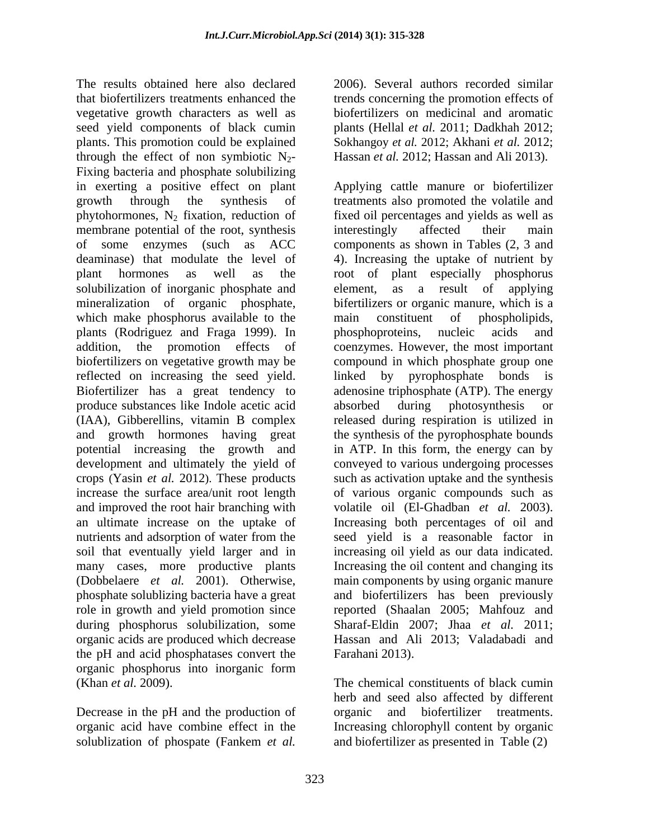The results obtained here also declared 2006). Several authors recorded similar that biofertilizers treatments enhanced the trends concerning the promotion effects of vegetative growth characters as well as seed yield components of black cumin plants (Hellal *et al.* 2011; Dadkhah 2012; plants. This promotion could be explained Sokhangoy *et al.* 2012; Akhani *et al.* 2012; through the effect of non symbiotic  $N_{2}$ -Fixing bacteria and phosphate solubilizing in exerting a positive effect on plant Applying cattle manure or biofertilizer growth through the synthesis of treatments also promoted the volatile and phytohormones,  $N_2$  fixation, reduction of fixed oil percentages and yields as well as membrane potential of the root, synthesis interestingly affected their main of some enzymes (such as ACC deaminase) that modulate the level of 4). Increasing the uptake of nutrient by plant hormones as well as the root of plant especially phosphorus solubilization of inorganic phosphate and element, as a result of applying mineralization of organic phosphate, bifertilizers or organic manure, which is a which make phosphorus available to the main constituent of phospholipids, plants (Rodriguez and Fraga 1999). In addition, the promotion effects of coenzymes. However, the most important biofertilizers on vegetative growth may be compound in which phosphate group one reflected on increasing the seed yield. Inked by pyrophosphate bonds is Biofertilizer has a great tendency to adenosine triphosphate (ATP). The energy produce substances like Indole acetic acid (IAA), Gibberellins, vitamin B complex released during respiration is utilized in and growth hormones having great potential increasing the growth and in ATP. In this form, the energy can by development and ultimately the yield of conveyed to various undergoing processes crops (Yasin *et al.* 2012). These products such as activation uptake and the synthesis increase the surface area/unit root length of various organic compounds such as and improved the root hair branching with volatile oil (El-Ghadban *et al.* 2003). an ultimate increase on the uptake of Increasing both percentages of oil and nutrients and adsorption of water from the seed yield is a reasonable factor in soil that eventually yield larger and in increasing oil yield as our data indicated. many cases, more productive plants Increasing the oil content and changing its (Dobbelaere *et al.* 2001). Otherwise, main components by using organic manure phosphate solublizing bacteria have a great and biofertilizers has been previously role in growth and yield promotion since during phosphorus solubilization, some Sharaf-Eldin 2007; Jhaa *et al.* 2011; organic acids are produced which decrease Hassan and Ali 2013; Valadabadi and the pH and acid phosphatases convert the organic phosphorus into inorganic form<br>(Khan et al. 2009).

Decrease in the pH and the production of organic solublization of phospate (Fankem *et al.* and biofertilizer as presented in Table (2)

biofertilizers on medicinal and aromatic Hassan *et al.* 2012; Hassan and Ali 2013).

interestingly affected their main components as shown in Tables (2, 3 and main constituent of phospholipids, phosphoproteins, nucleic acids and linked by pyrophosphate bonds absorbed during photosynthesis or the synthesis of the pyrophosphate bounds reported (Shaalan 2005; Mahfouz and Farahani 2013).

(Khan *et al.* 2009). The chemical constituents of black cumin organic acid have combine effect in the Increasing chlorophyll content by organic herb and seed also affected by different and biofertilizer treatments.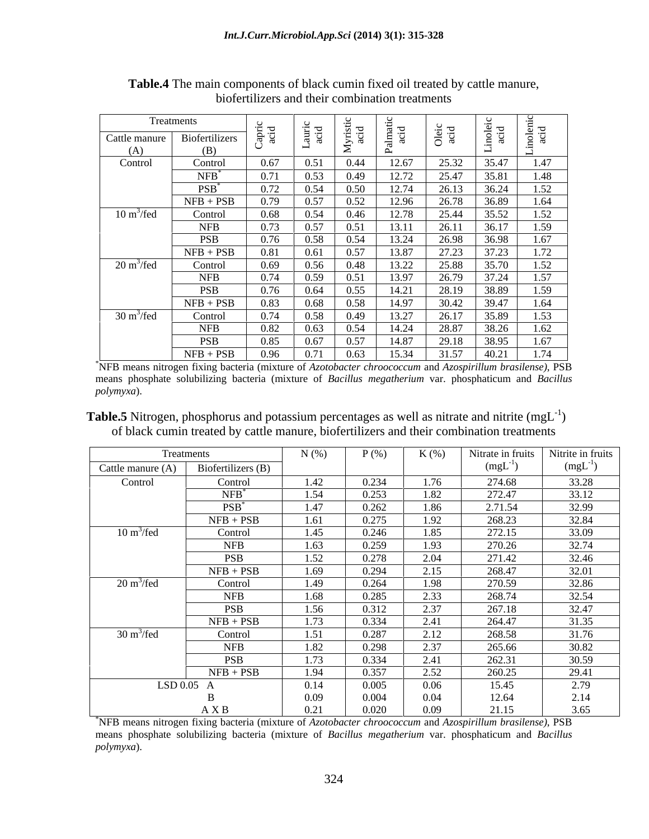|                             | Treatments            |                 | $\overline{H}$ $\overline{H}$                    | bi zi | ਾਨ            |               | ು. ಅ           |               |
|-----------------------------|-----------------------|-----------------|--------------------------------------------------|-------|---------------|---------------|----------------|---------------|
| Cattle manure<br>(A)        | Biofertilizers<br>(B) | 'ਸ਼ੂੰ 'ਤ੍ਰ<br>◡ | $\frac{11}{2}$<br>್ದ<br>$\overline{\phantom{0}}$ | _≥ా   | $\rightarrow$ | Oleic<br>acid | ិ និង<br>ក្នុង | nolen<br>acid |
| Control                     | Control               | 0.67            | 0.51                                             | 0.44  | 12.67         | 25.32         | 35.47          | 1.47          |
|                             | $NFB$ <sup>*</sup>    | 0.71            | 0.53                                             | 0.49  | 12.72         | 25.47         | 35.81          | 1.48          |
|                             | $PSB^*$               | 0.72            | 0.54                                             | 0.50  | 12.74         | 26.13         | 36.24          | 1.52          |
|                             | $NFB + PSB$           | 0.79            | 0.57                                             | 0.52  | 12.96         | 26.78         | 36.89          | 1.64          |
| $10 \text{ m}^3/\text{fed}$ | Control               | 0.68            | 0.54                                             | 0.46  | 12.78         | 25.44         | 35.52          | 1.52          |
|                             | <b>NFB</b>            | 0.73            | 0.57                                             | 0.51  | 13.11         | 26.11         | 36.17          | 1.59          |
|                             | <b>PSB</b>            | 0.76            | 0.58                                             | 0.54  | 13.24         | 26.98         | 36.98          | 1.67          |
|                             | $NFB + PSB$           | 0.81            | 0.61                                             | 0.57  | 13.87         | 27.23         | 51.23          | 1.72          |
| $20 \text{ m}^3/\text{fed}$ | Control               | 0.69            | 0.56                                             | 0.48  | 13.22         | 25.88         | 35.70          | 1.52          |
|                             | <b>NFB</b>            | 0.74            | 0.59                                             | 0.51  | 13.97         | 26.79         | 31.24          | 1.57          |
|                             | <b>PSB</b>            | 0.76            | 0.64                                             | 0.55  | 14.21         | 28.19         | 38.89          | 1.59          |
|                             | $NFB + PSB$           | 0.83            | 0.68                                             | 0.58  | 14.97         | 30.42         | 39.47          | 1.64          |
| $30 \text{ m}^3/\text{fed}$ | Control               | 0.74            | 0.58                                             | 0.49  | 13.27         | 26.17         | 35.89          | 1.53          |
|                             | <b>NFB</b>            | 0.82            | 0.63                                             | 0.54  | 14.24         | 28.87         | 38.26          | 1.62          |
|                             | <b>PSB</b>            | 0.85            | 0.67                                             | 0.57  | 14.87         | 29.18         | 38.95          | 1.67          |
|                             | $NFB + PSB$           | 0.96            | 0.71                                             | 0.63  | 15.34         | 31.57         | 40.21          | 1.74          |

**Table.4** The main components of black cumin fixed oil treated by cattle manure, biofertilizers and their combination treatments

\*NFB means nitrogen fixing bacteria (mixture of *Azotobacter chroococcum* and *Azospirillum brasilense)*, PSB means phosphate solubilizing bacteria (mixture of *Bacillus megatherium* var. phosphaticum and *Bacillus polymyxa*).

**Table.5** Nitrogen, phosphorus and potassium percentages as well as nitrate and nitrite  $(mgL^{-1})$  $)$ of black cumin treated by cattle manure, biofertilizers and their combination treatments

|                             | Treatments         | $N(\%)$ | $P$ (%) | $K(\%)$ | Nitrate in fruits | Nitrite in fruits |
|-----------------------------|--------------------|---------|---------|---------|-------------------|-------------------|
| Cattle manure $(A)$         | Biofertilizers (B) |         |         |         | (mgL)             | (mgL)             |
| Control                     | Control            | 1.42    | 0.234   | 1.76    | 274.68            | 33.28             |
|                             | $NFB$ <sup>*</sup> | 1.54    | 0.253   | 1.82    | 272.47            | 33.12             |
|                             | $PSB^*$            | 1.47    | 0.262   | 1.86    | 2.71.54           | 32.99             |
|                             | $NFB + PSB$        | 1.61    | 0.275   | 1.92    | 268.23            | 32.84             |
| $10 \text{ m}^3/\text{fed}$ | Control            | 1.45    | 0.246   | 1.85    | 272.15            | 33.09             |
|                             | <b>NFB</b>         | 1.63    | 0.259   | 1.93    | 270.26            | 32.74             |
|                             | <b>PSB</b>         | 1.52    | 0.278   | 2.04    | 271.42            | 32.46             |
|                             | $NFB + PSB$        | 1.69    | 0.294   | 2.15    | 268.47            | 32.01             |
| $20 \text{ m}^3/\text{fed}$ | Control            | 1.49    | 0.264   | 1.98    | 270.59            | 32.86             |
|                             | <b>NFB</b>         | 1.68    | 0.285   | 2.33    | 268.74            | 32.54             |
|                             | <b>PSB</b>         | 1.56    | 0.312   | 2.37    | 267.18            | 32.47             |
|                             | $NFB + PSB$        | 1.73    | 0.334   | 2.41    | 264.47            | 31.35             |
| $30 \text{ m}^3/\text{fed}$ | Control            | 1.51    | 0.287   | 2.12    | 268.58            | 31.76             |
|                             | <b>NFB</b>         | 1.82    | 0.298   | 2.37    | 265.66            | 30.82             |
|                             | <b>PSB</b>         | 1.73    | 0.334   | 2.41    | 262.31            | 30.59             |
|                             | $NFB + PSB$        | 1.94    | 0.357   | 2.52    | 260.25            | 29.41             |
| LSD 0.05 A                  |                    | 0.14    | 0.005   | 0.06    | 15.45             | 2.79              |
|                             |                    | 0.09    | 0.004   | 0.04    | 12.64             | 2.14              |
|                             | A X B              | 0.21    | 0.020   | 0.09    | 21.15             | 3.65              |

\*NFB means nitrogen fixing bacteria (mixture of *Azotobacter chroococcum* and *Azospirillum brasilense)*, PSB means phosphate solubilizing bacteria (mixture of *Bacillus megatherium* var. phosphaticum and *Bacillus polymyxa*).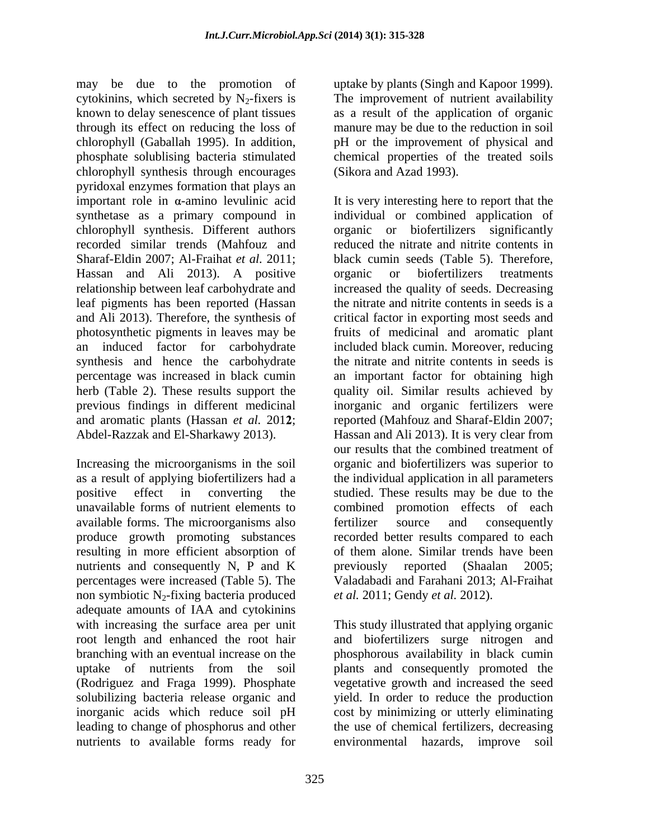may be due to the promotion of uptake by plants (Singh and Kapoor 1999). cytokinins, which secreted by  $N_2$ -fixers is The improvement of nutrient availability known to delay senescence of plant tissues through its effect on reducing the loss of manure may be due to the reduction in soil chlorophyll (Gaballah 1995). In addition, pH or the improvement of physical and phosphate solublising bacteria stimulated chemical properties of the treated soils chlorophyll synthesis through encourages pyridoxal enzymes formation that plays an recorded similar trends (Mahfouz and Hassan and Ali 2013). A positive organic or biofertilizers treatments relationship between leaf carbohydrate and and Ali 2013). Therefore, the synthesis of an induced factor for carbohydrate synthesis and hence the carbohydrate

available forms. The microorganisms also fertilizer source and consequently produce growth promoting substances resulting in more efficient absorption of nutrients and consequently N, P and K previously reported (Shaalan 2005; non symbiotic  $N_2$ -fixing bacteria produced adequate amounts of IAA and cytokinins with increasing the surface area per unit This study illustrated that applying organic root length and enhanced the root hair and biofertilizers surge nitrogen and branching with an eventual increase on the phosphorous availability in black cumin uptake of nutrients from the soil plants and consequently promoted the (Rodriguez and Fraga 1999). Phosphate vegetative growth and increased the seed solubilizing bacteria release organic and yield. In order to reduce the production inorganic acids which reduce soil pH cost by minimizing or utterly eliminating leading to change of phosphorus and other nutrients to available forms ready for

uptake by plants (Singh and Kapoor 1999). The improvement of nutrient availability as a result of the application of organic (Sikora and Azad 1993).

important role in  $\alpha$ -amino levulinic acid It is very interesting here to report that the synthetase as a primary compound in individual or combined application of chlorophyll synthesis. Different authors organic or biofertilizers significantly Sharaf-Eldin 2007; Al-Fraihat *et al.* 2011; black cumin seeds (Table 5). Therefore, leaf pigments has been reported (Hassan the nitrate and nitrite contents in seeds is a photosynthetic pigments in leaves may be fruits of medicinal and aromatic plant percentage was increased in black cumin an important factor for obtaining high herb (Table 2). These results support the quality oil. Similar results achieved by previous findings in different medicinal inorganic and organic fertilizers were and aromatic plants (Hassan *et al.* 2012; reported (Mahfouz and Sharaf-Eldin 2007; Abdel-Razzak and El-Sharkawy 2013). Hassan and Ali 2013). It is very clear from Increasing the microorganisms in the soil organic and biofertilizers was superior to as a result of applying biofertilizers had a the individual application in all parameters positive effect in converting the studied. These results may be due to the unavailable forms of nutrient elements to combined promotion effects of each percentages were increased (Table 5). The Valadabadi and Farahani 2013; Al-Fraihat reduced the nitrate and nitrite contents in organic or biofertilizers treatments increased the quality of seeds. Decreasing critical factor in exporting most seeds and included black cumin. Moreover, reducing the nitrate and nitrite contents in seeds is our results that the combined treatment of fertilizer source and consequently recorded better results compared to each of them alone. Similar trends have been previously reported (Shaalan 2005; *et al.* 2011; Gendy *et al.* 2012).

> the use of chemical fertilizers, decreasing environmental hazards, improve soil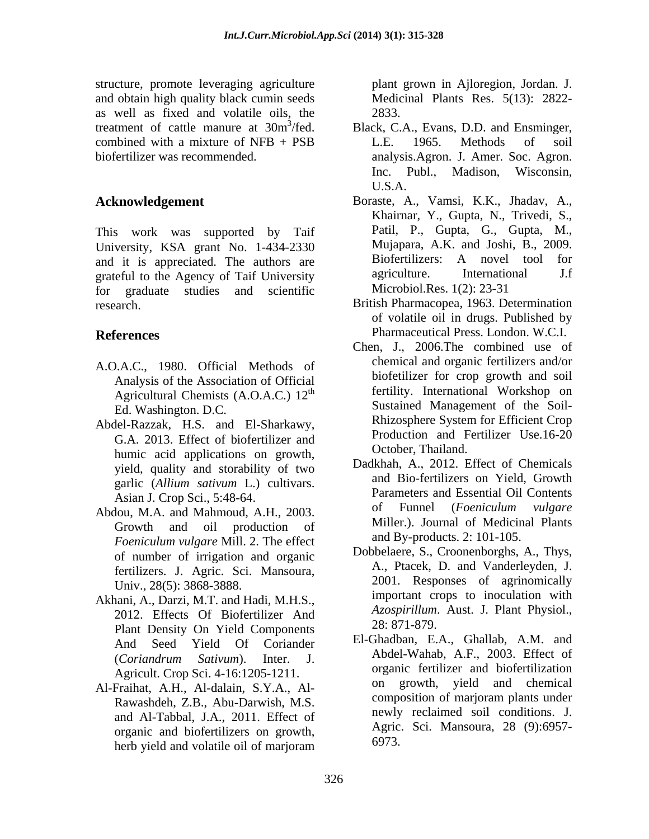structure, promote leveraging agriculture and obtain high quality black cumin seeds as well as fixed and volatile oils, the treatment of cattle manure at 30m<sup>3</sup>/fed. Black, C.A., Evans, D.D. and Ensminger,

This work was supported by Taif University, KSA grant No. 1-434-2330 Mujapara, A.K. and Joshi, B., 2009.<br>and it is appreciated The authors are Biofertilizers: A novel tool for and it is appreciated. The authors are **Biofertilizers:** A novel tool for anti-<br>
agriculture. International J.f grateful to the Agency of Taif University<br>for graduate studies and scientific Microbiol.Res. 1(2): 23-31 for graduate studies and scientific

- A.O.A.C., 1980. Official Methods of Analysis of the Association of Official Agricultural Chemists (A.O.A.C.)  $12<sup>th</sup>$
- G.A. 2013. Effect of biofertilizer and humic acid applications on growth, yield, quality and storability of two garlic (*Allium sativum* L.) cultivars.
- Abdou, M.A. and Mahmoud, A.H., 2003. *Foeniculum vulgare* Mill. 2. The effect of number of irrigation and organic fertilizers. J. Agric. Sci. Mansoura, Univ., 28(5): 3868-3888.
- Akhani, A., Darzi, M.T. and Hadi, M.H.S., 2012. Effects Of Biofertilizer And Azospiruum.<br>
Plant Density On Viald Genuscappear Plant Density On Yield Components
- Rawashdeh, Z.B., Abu-Darwish, M.S. and Al-Tabbal, J.A., 2011. Effect of organic and biofertilizers on growth, herb yield and volatile oil of marjoram branch or  $09/3$ .

plant grown in Ajloregion, Jordan. J. Medicinal Plants Res. 5(13): 2822- 2833.

- combined with a mixture of NFB + PSB L.E. 1965. Methods of soil biofertilizer was recommended. analysis.Agron. J. Amer. Soc. Agron. L.E. 1965. Methods of soil Inc. Publ., Madison, Wisconsin, U.S.A.
- **Acknowledgement**  Boraste, A., Vamsi, K.K., Jhadav, A., Khairnar, Y., Gupta, N., Trivedi, S., Patil, P., Gupta, G., Gupta, M., Mujapara, A.K. and Joshi, B., 2009. Biofertilizers: A novel tool for agriculture. International J.f Microbiol.Res. 1(2): 23-31
- research. British Pharmacopea, 1963. Determination **References** Pharmaceutical Press. London. W.C.I. of volatile oil in drugs. Published by
- th fertility. International Workshop on Ed. Washington. D.C. Sustained Management of the Soil- Abdel-Razzak, H.S. and El-Sharkawy, Rhizosphere System for Efficient Crop Chen, J., 2006.The combined use of chemical and organic fertilizers and/or biofetilizer for crop growth and soil Rhizosphere System for Efficient Crop Production and Fertilizer Use.16-20 October, Thailand.
	- Asian J. Crop Sci., 5:48-64.<br>
	Asian J. Crop Sci., 5:48-64.<br>
	A love M A and Mahmoud A H 2002 of Funnel (*Foeniculum vulgare* Growth and oil production of Millier.). Journal of Medicinal Plants Dadkhah, A., 2012. Effect of Chemicals and Bio-fertilizers on Yield, Growth Parameters and Essential Oil Contents of Funnel (*Foeniculum vulgare* Miller.). Journal of Medicinal Plants and By-products. 2: 101-105.
		- Dobbelaere, S., Croonenborghs, A., Thys, A., Ptacek, D. and Vanderleyden, J. 2001. Responses of agrinomically important crops to inoculation with *Azospirillum*. Aust. J. Plant Physiol., 28: 871-879.
- And Seed Yield Of Coriander El-Ghandoan, E.A., Ghanao, A.M. and (*Coriandrum Sativum*). Inter. J. Abdel-Wanab, A.F., 2005. Effect of Agricult. Crop Sci. 4-16:1205-1211. Al-Fraihat, A.H., Al-dalain, S.Y.A., Al-<br>Bawashdah Z.B. Abu Darwish M.S. composition of marjoram plants under El-Ghadban, E.A., Ghallab, A.M. and Abdel-Wahab, A.F., 2003. Effect of organic fertilizer and biofertilization on growth, yield and chemical composition of marjoram plants under newly reclaimed soil conditions. J. Agric. Sci. Mansoura, 28 (9):6957- 6973.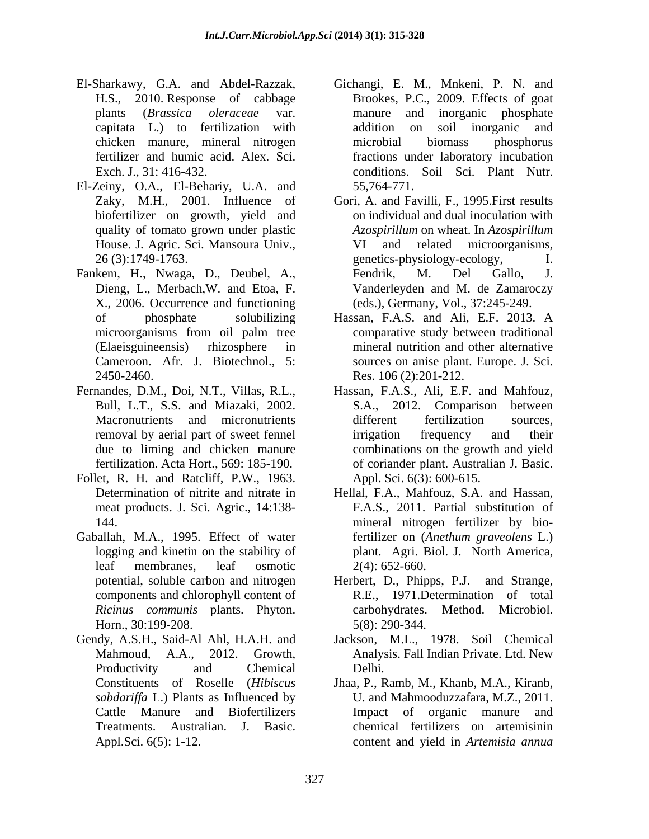- El-Sharkawy, G.A. and Abdel-Razzak, Gichangi, E. M., Mnkeni, P. N. and
- El-Zeiny, O.A., El-Behariy, U.A. and 55,764-771.<br>Zaky, M.H., 2001. Influence of Gori, A. and Fa biofertilizer on growth, yield and House. J. Agric. Sci. Mansoura Univ.,
- Fankem, H., Nwaga, D., Deubel, A., Fendrik, M. Del Gallo, J. X., 2006. Occurrence and functioning
- 
- Follet, R. H. and Ratcliff, P.W., 1963.
- Gaballah, M.A., 1995. Effect of water *Ricinus communis* plants. Phyton. Horn., 30:199-208.
- Gendy, A.S.H., Said-Al Ahl, H.A.H. and Jackson, M.L., 1978. Soil Chemical
- H.S., 2010. Response of cabbage Brookes, P.C., 2009. Effects of goat plants (*Brassica oleraceae* var. capitata L.) to fertilization with chicken manure, mineral nitrogen fertilizer and humic acid. Alex. Sci. fractions under laboratory incubation Exch. J., 31: 416-432. conditions. Soil Sci. Plant Nutr. manure and inorganic phosphate addition on soil inorganic and microbial biomass phosphorus 55,764-771.
- Zaky, M.H., 2001. Influence of Gori, A. and Favilli, F., 1995.First results quality of tomato grown under plastic *Azospirillum* on wheat. In *Azospirillum* 26 (3):1749-1763. genetics-physiology-ecology, I. Dieng, L., Merbach,W. and Etoa, F. Vanderleyden and M. de Zamaroczy on individual and dual inoculation with *Azospirillum* on wheat. In *Azospirillum* and related microorganisms, Fendrik, M. Del Gallo, J. (eds.), Germany, Vol., 37:245-249.
- of phosphate solubilizing Hassan, F.A.S. and Ali, E.F. 2013. A microorganisms from oil palm tree comparative study between traditional (Elaeisguineensis) rhizosphere in mineral nutrition and other alternative Cameroon. Afr. J. Biotechnol., 5: sources on anise plant. Europe. J. Sci. 2450-2460. Res. 106 (2):201-212. comparative study between traditional
- Fernandes, D.M., Doi, N.T., Villas, R.L., Hassan, F.A.S., Ali, E.F. and Mahfouz, Bull, L.T., S.S. and Miazaki, 2002. S.A., 2012. Comparison between Macronutrients and micronutrients and different fertilization sources. removal by aerial part of sweet fennel due to liming and chicken manure combinations on the growth and yield fertilization. Acta Hort., 569: 185-190. of coriander plant. Australian J. Basic. S.A., 2012. Comparison between different fertilization sources, irrigation frequency and their Appl. Sci. 6(3): 600-615.
	- Determination of nitrite and nitrate in Hellal, F.A., Mahfouz, S.A. and Hassan, meat products. J. Sci. Agric., 14:138- F.A.S., 2011. Partial substitution of 144. mineral nitrogen fertilizer by biologging and kinetin on the stability of plant. Agri. Biol. J. North America, leaf membranes, leaf osmotic  $2(4)$ : 652-660. fertilizer on (*Anethum graveolens* L.)  $2(4)$ : 652-660.
	- potential, soluble carbon and nitrogen Herbert, D., Phipps, P.J. and Strange, components and chlorophyll content of R.E., 1971.Determination of total carbohydrates. Method. Microbiol. 5(8): 290-344.
	- Mahmoud, A.A., 2012. Growth, Analysis. Fall Indian Private. Ltd. New Productivity and Chemical Delhi. Delhi.
	- Constituents of Roselle (*Hibiscus*  Jhaa, P., Ramb, M., Khanb, M.A., Kiranb, *sabdariffa* L.) Plants as Influenced by U. and Mahmooduzzafara, M.Z., 2011. Cattle Manure and Biofertilizers Impact of organic manure and Treatments. Australian. J. Basic. chemical fertilizers on artemisinin Appl.Sci. 6(5): 1-12. content and yield in *Artemisia annua*